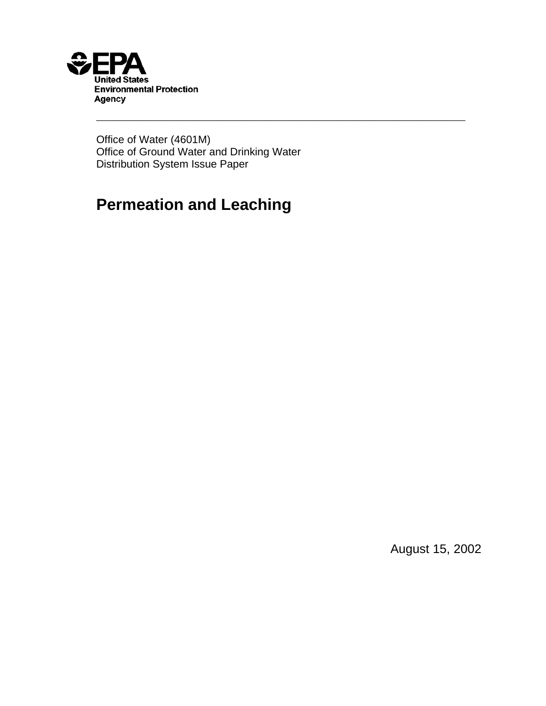

Office of Water (4601M) Office of Ground Water and Drinking Water Distribution System Issue Paper

\_\_\_\_\_\_\_\_\_\_\_\_\_\_\_\_\_\_\_\_\_\_\_\_\_\_\_\_\_\_\_\_\_\_\_\_\_\_\_\_\_\_\_\_\_\_\_\_\_\_\_\_\_\_\_\_\_\_\_\_\_\_\_\_\_\_\_\_\_

# **Permeation and Leaching**

August 15, 2002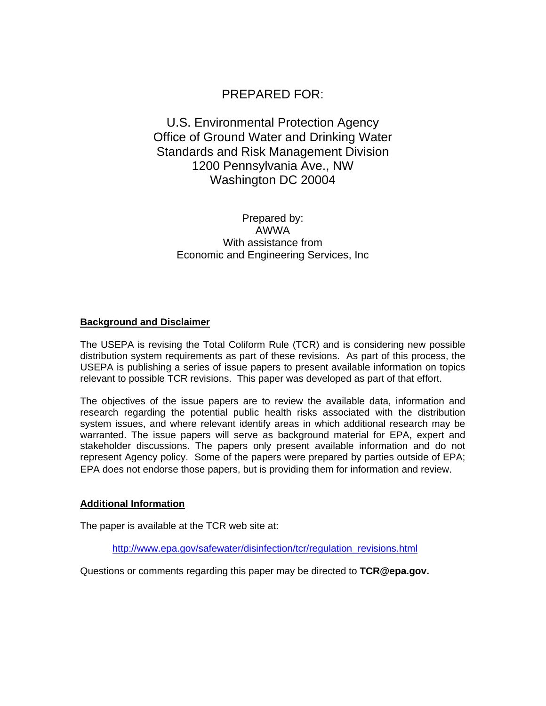# PREPARED FOR:

# U.S. Environmental Protection Agency Office of Ground Water and Drinking Water Standards and Risk Management Division 1200 Pennsylvania Ave., NW Washington DC 20004

Prepared by: AWWA With assistance from Economic and Engineering Services, Inc

#### **Background and Disclaimer**

The USEPA is revising the Total Coliform Rule (TCR) and is considering new possible distribution system requirements as part of these revisions. As part of this process, the USEPA is publishing a series of issue papers to present available information on topics relevant to possible TCR revisions. This paper was developed as part of that effort.

The objectives of the issue papers are to review the available data, information and research regarding the potential public health risks associated with the distribution system issues, and where relevant identify areas in which additional research may be warranted. The issue papers will serve as background material for EPA, expert and stakeholder discussions. The papers only present available information and do not represent Agency policy. Some of the papers were prepared by parties outside of EPA; EPA does not endorse those papers, but is providing them for information and review.

#### **Additional Information**

The paper is available at the TCR web site at:

http://www.epa.gov/safewater/disinfection/tcr/regulation\_revisions.html

Questions or comments regarding this paper may be directed to **TCR@epa.gov.**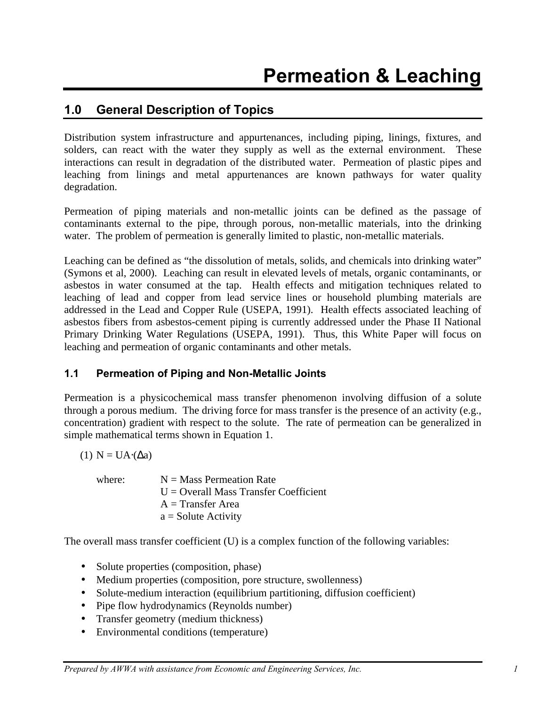# **1.0 General Description of Topics**

Distribution system infrastructure and appurtenances, including piping, linings, fixtures, and solders, can react with the water they supply as well as the external environment. These interactions can result in degradation of the distributed water. Permeation of plastic pipes and leaching from linings and metal appurtenances are known pathways for water quality degradation.

Permeation of piping materials and non-metallic joints can be defined as the passage of contaminants external to the pipe, through porous, non-metallic materials, into the drinking water. The problem of permeation is generally limited to plastic, non-metallic materials.

Leaching can be defined as "the dissolution of metals, solids, and chemicals into drinking water" (Symons et al, 2000). Leaching can result in elevated levels of metals, organic contaminants, or asbestos in water consumed at the tap. Health effects and mitigation techniques related to leaching of lead and copper from lead service lines or household plumbing materials are addressed in the Lead and Copper Rule (USEPA, 1991). Health effects associated leaching of asbestos fibers from asbestos-cement piping is currently addressed under the Phase II National Primary Drinking Water Regulations (USEPA, 1991). Thus, this White Paper will focus on leaching and permeation of organic contaminants and other metals.

#### **1.1 Permeation of Piping and Non-Metallic Joints**

Permeation is a physicochemical mass transfer phenomenon involving diffusion of a solute through a porous medium. The driving force for mass transfer is the presence of an activity (e.g., concentration) gradient with respect to the solute. The rate of permeation can be generalized in simple mathematical terms shown in Equation 1.

(1)  $N = UA(Δa)$ 

where:  $N = Mass$  Permeation Rate  $U =$  Overall Mass Transfer Coefficient  $A =$ Transfer Area  $a =$  Solute Activity

The overall mass transfer coefficient (U) is a complex function of the following variables:

- Solute properties (composition, phase)
- Medium properties (composition, pore structure, swollenness)
- Solute-medium interaction (equilibrium partitioning, diffusion coefficient)
- Pipe flow hydrodynamics (Reynolds number)
- Transfer geometry (medium thickness)
- Environmental conditions (temperature)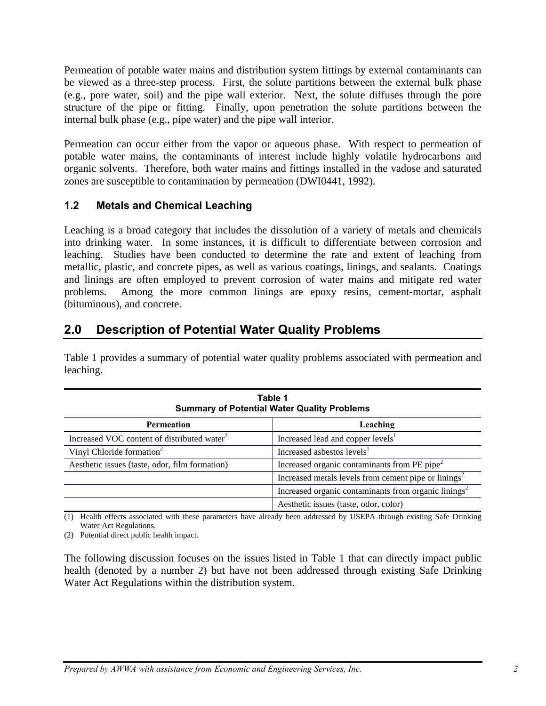Permeation of potable water mains and distribution system fittings by external contaminants can be viewed as a three-step process. First, the solute partitions between the external bulk phase (e.g., pore water, soil) and the pipe wall exterior. Next, the solute diffuses through the pore structure of the pipe or fitting. Finally, upon penetration the solute partitions between the internal bulk phase (e.g., pipe water) and the pipe wall interior.

Permeation can occur either from the vapor or aqueous phase. With respect to permeation of potable water mains, the contaminants of interest include highly volatile hydrocarbons and organic solvents. Therefore, both water mains and fittings installed in the vadose and saturated zones are susceptible to contamination by permeation (DWI0441, 1992).

### **1.2 Metals and Chemical Leaching**

Leaching is a broad category that includes the dissolution of a variety of metals and chemicals into drinking water. In some instances, it is difficult to differentiate between corrosion and leaching. Studies have been conducted to determine the rate and extent of leaching from metallic, plastic, and concrete pipes, as well as various coatings, linings, and sealants. Coatings and linings are often employed to prevent corrosion of water mains and mitigate red water problems. Among the more common linings are epoxy resins, cement-mortar, asphalt (bituminous), and concrete.

# **2.0 Description of Potential Water Quality Problems**

Table 1 provides a summary of potential water quality problems associated with permeation and leaching.

| Table 1<br><b>Summary of Potential Water Quality Problems</b> |                                                                  |  |
|---------------------------------------------------------------|------------------------------------------------------------------|--|
| Leaching<br>Permeation                                        |                                                                  |  |
| Increased VOC content of distributed water <sup>2</sup>       | Increased lead and copper levels <sup>1</sup>                    |  |
| Vinyl Chloride formation <sup>2</sup>                         | Increased asbestos levels <sup>1</sup>                           |  |
| Aesthetic issues (taste, odor, film formation)                | Increased organic contaminants from PE pipe <sup>2</sup>         |  |
|                                                               | Increased metals levels from cement pipe or linings <sup>2</sup> |  |
|                                                               | Increased organic contaminants from organic linings <sup>2</sup> |  |
|                                                               | Aesthetic issues (taste, odor, color)                            |  |

(1) Health effects associated with these parameters have already been addressed by USEPA through existing Safe Drinking

Water Act Regulations. (2) Potential direct public health impact.

The following discussion focuses on the issues listed in Table 1 that can directly impact public health (denoted by a number 2) but have not been addressed through existing Safe Drinking Water Act Regulations within the distribution system.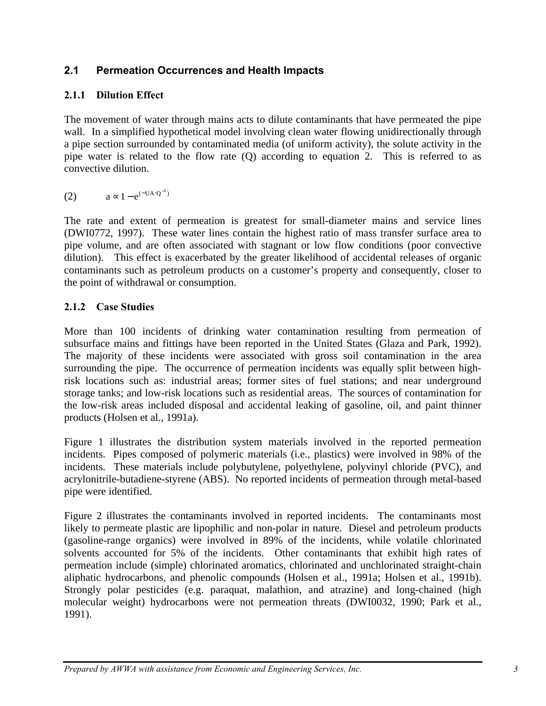# **2.1 Permeation Occurrences and Health Impacts**

# **2.1.1 Dilution Effect**

The movement of water through mains acts to dilute contaminants that have permeated the pipe wall. In a simplified hypothetical model involving clean water flowing unidirectionally through a pipe section surrounded by contaminated media (of uniform activity), the solute activity in the pipe water is related to the flow rate (Q) according to equation 2. This is referred to as convective dilution.

$$
(2) \qquad \quad a \sim 1 - e^{(-UA \cdot Q^{-1})}
$$

The rate and extent of permeation is greatest for small-diameter mains and service lines (DWI0772, 1997). These water lines contain the highest ratio of mass transfer surface area to pipe volume, and are often associated with stagnant or low flow conditions (poor convective dilution). This effect is exacerbated by the greater likelihood of accidental releases of organic contaminants such as petroleum products on a customer's property and consequently, closer to the point of withdrawal or consumption.

### **2.1.2 Case Studies**

More than 100 incidents of drinking water contamination resulting from permeation of subsurface mains and fittings have been reported in the United States (Glaza and Park, 1992). The majority of these incidents were associated with gross soil contamination in the area surrounding the pipe. The occurrence of permeation incidents was equally split between highrisk locations such as: industrial areas; former sites of fuel stations; and near underground storage tanks; and low-risk locations such as residential areas. The sources of contamination for the low-risk areas included disposal and accidental leaking of gasoline, oil, and paint thinner products (Holsen et al., 1991a).

Figure 1 illustrates the distribution system materials involved in the reported permeation incidents. Pipes composed of polymeric materials (i.e., plastics) were involved in 98% of the incidents. These materials include polybutylene, polyethylene, polyvinyl chloride (PVC), and acrylonitrile-butadiene-styrene (ABS). No reported incidents of permeation through metal-based pipe were identified.

Figure 2 illustrates the contaminants involved in reported incidents. The contaminants most likely to permeate plastic are lipophilic and non-polar in nature. Diesel and petroleum products (gasoline-range organics) were involved in 89% of the incidents, while volatile chlorinated solvents accounted for 5% of the incidents. Other contaminants that exhibit high rates of permeation include (simple) chlorinated aromatics, chlorinated and unchlorinated straight-chain aliphatic hydrocarbons, and phenolic compounds (Holsen et al., 1991a; Holsen et al., 1991b). Strongly polar pesticides (e.g. paraquat, malathion, and atrazine) and long-chained (high molecular weight) hydrocarbons were not permeation threats (DWI0032, 1990; Park et al., 1991).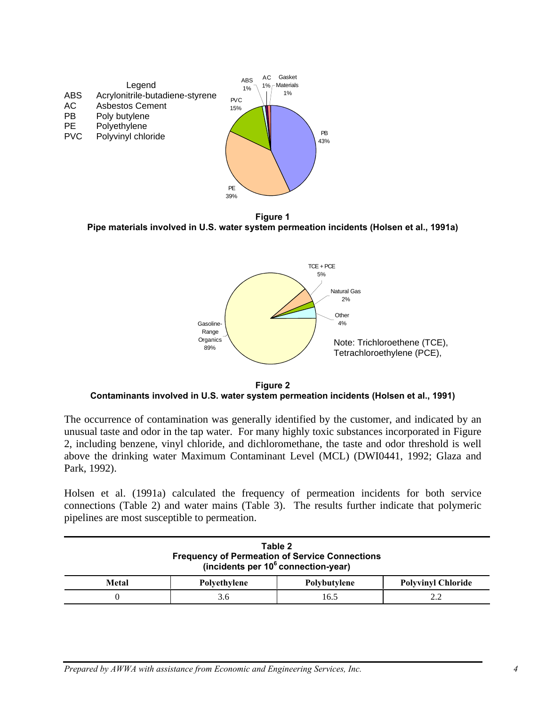

**Figure 1 Pipe materials involved in U.S. water system permeation incidents (Holsen et al., 1991a)**



**Figure 2 Contaminants involved in U.S. water system permeation incidents (Holsen et al., 1991)**

The occurrence of contamination was generally identified by the customer, and indicated by an unusual taste and odor in the tap water. For many highly toxic substances incorporated in Figure 2, including benzene, vinyl chloride, and dichloromethane, the taste and odor threshold is well above the drinking water Maximum Contaminant Level (MCL) (DWI0441, 1992; Glaza and Park, 1992).

Holsen et al. (1991a) calculated the frequency of permeation incidents for both service connections (Table 2) and water mains (Table 3). The results further indicate that polymeric pipelines are most susceptible to permeation.

| Table 2<br><b>Frequency of Permeation of Service Connections</b><br>(incidents per $10^6$ connection-year) |     |      |     |  |  |
|------------------------------------------------------------------------------------------------------------|-----|------|-----|--|--|
| <b>Polyvinyl Chloride</b><br>Metal<br><b>Polvethylene</b><br>Polybutylene                                  |     |      |     |  |  |
|                                                                                                            | 3.6 | 16.5 | 2.2 |  |  |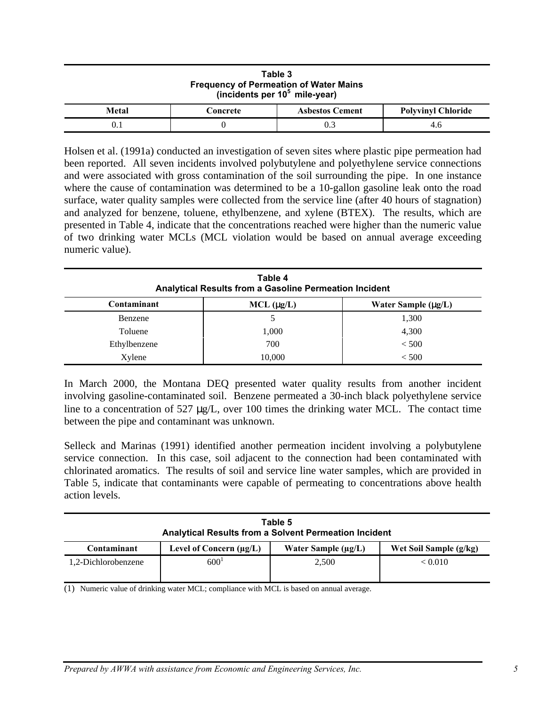| Table 3<br><b>Frequency of Permeation of Water Mains</b><br>(incidents per $10^5$ mile-year) |  |  |  |  |  |
|----------------------------------------------------------------------------------------------|--|--|--|--|--|
| <b>Metal</b><br><b>Polyvinyl Chloride</b><br><b>Asbestos Cement</b><br>Concrete              |  |  |  |  |  |
| 0.3<br>4.6                                                                                   |  |  |  |  |  |

Holsen et al. (1991a) conducted an investigation of seven sites where plastic pipe permeation had been reported. All seven incidents involved polybutylene and polyethylene service connections and were associated with gross contamination of the soil surrounding the pipe. In one instance where the cause of contamination was determined to be a 10-gallon gasoline leak onto the road surface, water quality samples were collected from the service line (after 40 hours of stagnation) and analyzed for benzene, toluene, ethylbenzene, and xylene (BTEX). The results, which are presented in Table 4, indicate that the concentrations reached were higher than the numeric value of two drinking water MCLs (MCL violation would be based on annual average exceeding numeric value).

| Table 4<br>Analytical Results from a Gasoline Permeation Incident |                                        |       |  |  |  |
|-------------------------------------------------------------------|----------------------------------------|-------|--|--|--|
| Contaminant                                                       | Water Sample $(m_Z/L)$<br>$MCL$ (mg/L) |       |  |  |  |
| Benzene                                                           |                                        | 1,300 |  |  |  |
| Toluene                                                           | 1,000                                  | 4,300 |  |  |  |
| Ethylbenzene                                                      | 700                                    | < 500 |  |  |  |
| Xylene                                                            | 10,000                                 | < 500 |  |  |  |

In March 2000, the Montana DEQ presented water quality results from another incident involving gasoline-contaminated soil. Benzene permeated a 30-inch black polyethylene service line to a concentration of 527 μg/L, over 100 times the drinking water MCL. The contact time between the pipe and contaminant was unknown.

Selleck and Marinas (1991) identified another permeation incident involving a polybutylene service connection. In this case, soil adjacent to the connection had been contaminated with chlorinated aromatics. The results of soil and service line water samples, which are provided in Table 5, indicate that contaminants were capable of permeating to concentrations above health action levels.

| Table 5<br><b>Analytical Results from a Solvent Permeation Incident</b>                           |                  |       |         |  |  |
|---------------------------------------------------------------------------------------------------|------------------|-------|---------|--|--|
| Water Sample $(\mu g/L)$<br>Contaminant<br>Level of Concern $(\mu g/L)$<br>Wet Soil Sample (g/kg) |                  |       |         |  |  |
| 1,2-Dichlorobenzene                                                                               | 600 <sup>1</sup> | 2,500 | < 0.010 |  |  |

(1) Numeric value of drinking water MCL; compliance with MCL is based on annual average.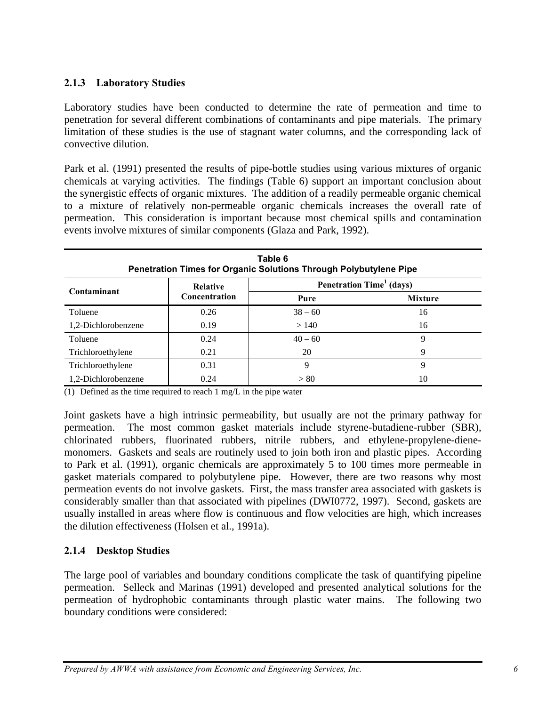#### **2.1.3 Laboratory Studies**

Laboratory studies have been conducted to determine the rate of permeation and time to penetration for several different combinations of contaminants and pipe materials. The primary limitation of these studies is the use of stagnant water columns, and the corresponding lack of convective dilution.

Park et al. (1991) presented the results of pipe-bottle studies using various mixtures of organic chemicals at varying activities. The findings (Table 6) support an important conclusion about the synergistic effects of organic mixtures. The addition of a readily permeable organic chemical to a mixture of relatively non-permeable organic chemicals increases the overall rate of permeation. This consideration is important because most chemical spills and contamination events involve mixtures of similar components (Glaza and Park, 1992).

| Table 6<br>Penetration Times for Organic Solutions Through Polybutylene Pipe |                 |           |                                             |  |
|------------------------------------------------------------------------------|-----------------|-----------|---------------------------------------------|--|
| Contaminant                                                                  | <b>Relative</b> |           | <b>Penetration Time</b> <sup>1</sup> (days) |  |
|                                                                              | Concentration   | Pure      | <b>Mixture</b>                              |  |
| Toluene                                                                      | 0.26            | $38 - 60$ | 16                                          |  |
| 1,2-Dichlorobenzene                                                          | 0.19            | >140      | 16                                          |  |
| Toluene                                                                      | 0.24            | $40 - 60$ | 9                                           |  |
| Trichloroethylene                                                            | 0.21            | 20        | 9                                           |  |
| Trichloroethylene                                                            | 0.31            | 9         | Q                                           |  |
| 1,2-Dichlorobenzene                                                          | 0.24            | > 80      | 10                                          |  |

(1) Defined as the time required to reach 1 mg/L in the pipe water

Joint gaskets have a high intrinsic permeability, but usually are not the primary pathway for permeation. The most common gasket materials include styrene-butadiene-rubber (SBR), chlorinated rubbers, fluorinated rubbers, nitrile rubbers, and ethylene-propylene-dienemonomers. Gaskets and seals are routinely used to join both iron and plastic pipes. According to Park et al. (1991), organic chemicals are approximately 5 to 100 times more permeable in gasket materials compared to polybutylene pipe. However, there are two reasons why most permeation events do not involve gaskets. First, the mass transfer area associated with gaskets is considerably smaller than that associated with pipelines (DWI0772, 1997). Second, gaskets are usually installed in areas where flow is continuous and flow velocities are high, which increases the dilution effectiveness (Holsen et al., 1991a).

#### **2.1.4 Desktop Studies**

The large pool of variables and boundary conditions complicate the task of quantifying pipeline permeation. Selleck and Marinas (1991) developed and presented analytical solutions for the permeation of hydrophobic contaminants through plastic water mains. The following two boundary conditions were considered: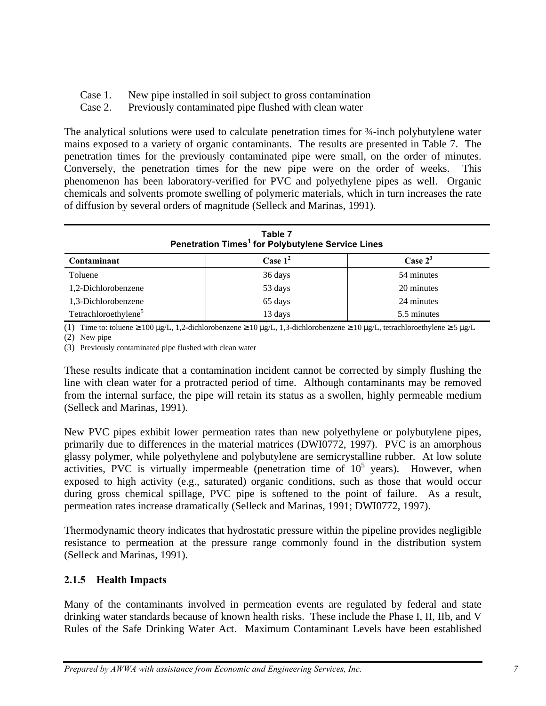- Case 1. New pipe installed in soil subject to gross contamination
- Case 2. Previously contaminated pipe flushed with clean water

The analytical solutions were used to calculate penetration times for  $\frac{3}{4}$ -inch polybutylene water mains exposed to a variety of organic contaminants. The results are presented in Table 7. The penetration times for the previously contaminated pipe were small, on the order of minutes. Conversely, the penetration times for the new pipe were on the order of weeks. This phenomenon has been laboratory-verified for PVC and polyethylene pipes as well. Organic chemicals and solvents promote swelling of polymeric materials, which in turn increases the rate of diffusion by several orders of magnitude (Selleck and Marinas, 1991).

| Table 7<br>Penetration Times <sup>1</sup> for Polybutylene Service Lines |         |             |  |  |
|--------------------------------------------------------------------------|---------|-------------|--|--|
| Case $1^2$<br>Case $2^3$<br>Contaminant                                  |         |             |  |  |
| Toluene                                                                  | 36 days | 54 minutes  |  |  |
| 1,2-Dichlorobenzene                                                      | 53 days | 20 minutes  |  |  |
| 1,3-Dichlorobenzene                                                      | 65 days | 24 minutes  |  |  |
| Tetrachloroethylene <sup>5</sup>                                         | 13 days | 5.5 minutes |  |  |

(1) Time to: toluene  $\geq 100 \mu g/L$ , 1,2-dichlorobenzene  $\geq 10 \mu g/L$ , 1,3-dichlorobenzene  $\geq 10 \mu g/L$ , tetrachloroethylene  $\geq 5 \mu g/L$ 

(2) New pipe

(3) Previously contaminated pipe flushed with clean water

These results indicate that a contamination incident cannot be corrected by simply flushing the line with clean water for a protracted period of time. Although contaminants may be removed from the internal surface, the pipe will retain its status as a swollen, highly permeable medium (Selleck and Marinas, 1991).

New PVC pipes exhibit lower permeation rates than new polyethylene or polybutylene pipes, primarily due to differences in the material matrices (DWI0772, 1997). PVC is an amorphous glassy polymer, while polyethylene and polybutylene are semicrystalline rubber. At low solute activities, PVC is virtually impermeable (penetration time of  $10<sup>5</sup>$  years). However, when exposed to high activity (e.g., saturated) organic conditions, such as those that would occur during gross chemical spillage, PVC pipe is softened to the point of failure. As a result, permeation rates increase dramatically (Selleck and Marinas, 1991; DWI0772, 1997).

Thermodynamic theory indicates that hydrostatic pressure within the pipeline provides negligible resistance to permeation at the pressure range commonly found in the distribution system (Selleck and Marinas, 1991).

#### **2.1.5 Health Impacts**

Many of the contaminants involved in permeation events are regulated by federal and state drinking water standards because of known health risks. These include the Phase I, II, IIb, and V Rules of the Safe Drinking Water Act. Maximum Contaminant Levels have been established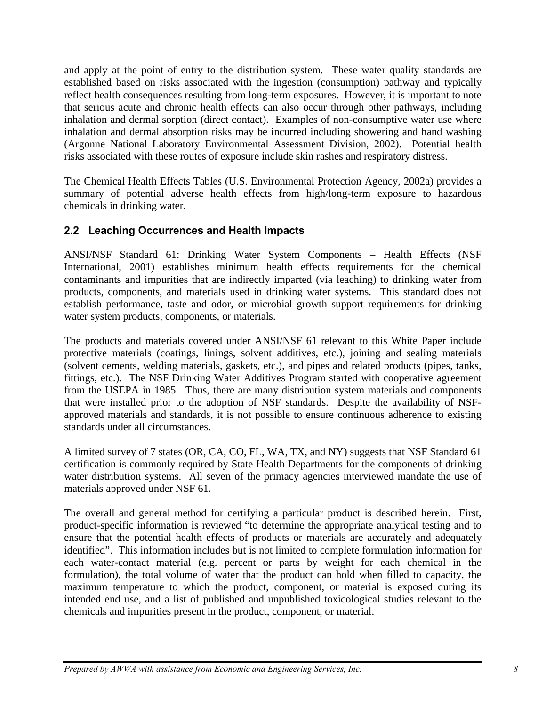and apply at the point of entry to the distribution system. These water quality standards are established based on risks associated with the ingestion (consumption) pathway and typically reflect health consequences resulting from long-term exposures. However, it is important to note that serious acute and chronic health effects can also occur through other pathways, including inhalation and dermal sorption (direct contact). Examples of non-consumptive water use where inhalation and dermal absorption risks may be incurred including showering and hand washing (Argonne National Laboratory Environmental Assessment Division, 2002). Potential health risks associated with these routes of exposure include skin rashes and respiratory distress.

The Chemical Health Effects Tables (U.S. Environmental Protection Agency, 2002a) provides a summary of potential adverse health effects from high/long-term exposure to hazardous chemicals in drinking water.

### **2.2 Leaching Occurrences and Health Impacts**

ANSI/NSF Standard 61: Drinking Water System Components – Health Effects (NSF International, 2001) establishes minimum health effects requirements for the chemical contaminants and impurities that are indirectly imparted (via leaching) to drinking water from products, components, and materials used in drinking water systems. This standard does not establish performance, taste and odor, or microbial growth support requirements for drinking water system products, components, or materials.

The products and materials covered under ANSI/NSF 61 relevant to this White Paper include protective materials (coatings, linings, solvent additives, etc.), joining and sealing materials (solvent cements, welding materials, gaskets, etc.), and pipes and related products (pipes, tanks, fittings, etc.). The NSF Drinking Water Additives Program started with cooperative agreement from the USEPA in 1985. Thus, there are many distribution system materials and components that were installed prior to the adoption of NSF standards. Despite the availability of NSFapproved materials and standards, it is not possible to ensure continuous adherence to existing standards under all circumstances.

A limited survey of 7 states (OR, CA, CO, FL, WA, TX, and NY) suggests that NSF Standard 61 certification is commonly required by State Health Departments for the components of drinking water distribution systems. All seven of the primacy agencies interviewed mandate the use of materials approved under NSF 61.

The overall and general method for certifying a particular product is described herein. First, product-specific information is reviewed "to determine the appropriate analytical testing and to ensure that the potential health effects of products or materials are accurately and adequately identified". This information includes but is not limited to complete formulation information for each water-contact material (e.g. percent or parts by weight for each chemical in the formulation), the total volume of water that the product can hold when filled to capacity, the maximum temperature to which the product, component, or material is exposed during its intended end use, and a list of published and unpublished toxicological studies relevant to the chemicals and impurities present in the product, component, or material.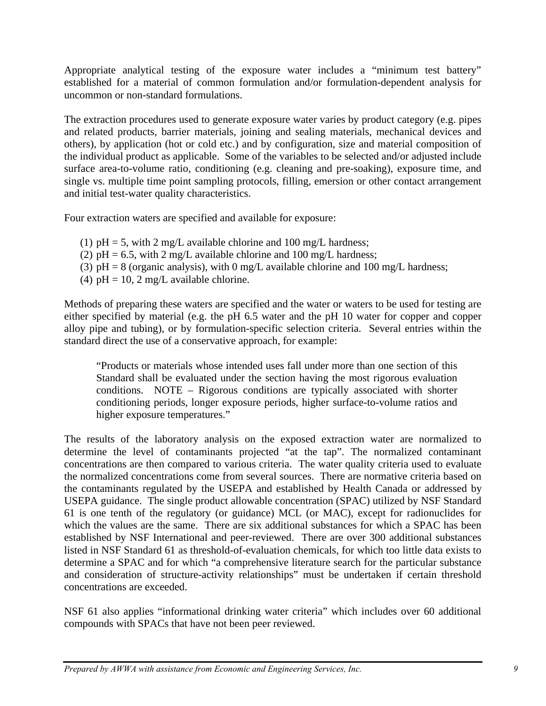Appropriate analytical testing of the exposure water includes a "minimum test battery" established for a material of common formulation and/or formulation-dependent analysis for uncommon or non-standard formulations.

The extraction procedures used to generate exposure water varies by product category (e.g. pipes and related products, barrier materials, joining and sealing materials, mechanical devices and others), by application (hot or cold etc.) and by configuration, size and material composition of the individual product as applicable. Some of the variables to be selected and/or adjusted include surface area-to-volume ratio, conditioning (e.g. cleaning and pre-soaking), exposure time, and single vs. multiple time point sampling protocols, filling, emersion or other contact arrangement and initial test-water quality characteristics.

Four extraction waters are specified and available for exposure:

- (1)  $pH = 5$ , with 2 mg/L available chlorine and 100 mg/L hardness;
- (2)  $pH = 6.5$ , with 2 mg/L available chlorine and 100 mg/L hardness;
- (3)  $pH = 8$  (organic analysis), with 0 mg/L available chlorine and 100 mg/L hardness;
- (4)  $pH = 10$ , 2 mg/L available chlorine.

Methods of preparing these waters are specified and the water or waters to be used for testing are either specified by material (e.g. the pH 6.5 water and the pH 10 water for copper and copper alloy pipe and tubing), or by formulation-specific selection criteria. Several entries within the standard direct the use of a conservative approach, for example:

"Products or materials whose intended uses fall under more than one section of this Standard shall be evaluated under the section having the most rigorous evaluation conditions. NOTE – Rigorous conditions are typically associated with shorter conditioning periods, longer exposure periods, higher surface-to-volume ratios and higher exposure temperatures."

The results of the laboratory analysis on the exposed extraction water are normalized to determine the level of contaminants projected "at the tap". The normalized contaminant concentrations are then compared to various criteria. The water quality criteria used to evaluate the normalized concentrations come from several sources. There are normative criteria based on the contaminants regulated by the USEPA and established by Health Canada or addressed by USEPA guidance. The single product allowable concentration (SPAC) utilized by NSF Standard 61 is one tenth of the regulatory (or guidance) MCL (or MAC), except for radionuclides for which the values are the same. There are six additional substances for which a SPAC has been established by NSF International and peer-reviewed. There are over 300 additional substances listed in NSF Standard 61 as threshold-of-evaluation chemicals, for which too little data exists to determine a SPAC and for which "a comprehensive literature search for the particular substance and consideration of structure-activity relationships" must be undertaken if certain threshold concentrations are exceeded.

NSF 61 also applies "informational drinking water criteria" which includes over 60 additional compounds with SPACs that have not been peer reviewed.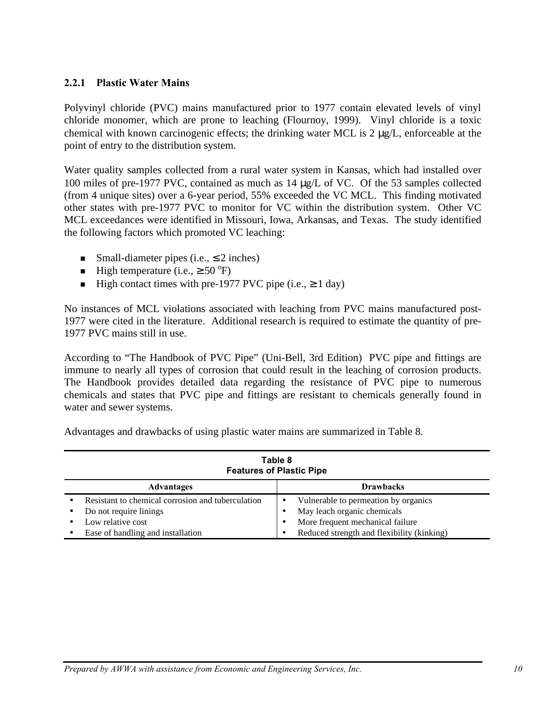#### **2.2.1 Plastic Water Mains**

Polyvinyl chloride (PVC) mains manufactured prior to 1977 contain elevated levels of vinyl chloride monomer, which are prone to leaching (Flournoy, 1999). Vinyl chloride is a toxic chemical with known carcinogenic effects; the drinking water MCL is 2 μg/L, enforceable at the point of entry to the distribution system.

Water quality samples collected from a rural water system in Kansas, which had installed over 100 miles of pre-1977 PVC, contained as much as 14 μg/L of VC. Of the 53 samples collected (from 4 unique sites) over a 6-year period, 55% exceeded the VC MCL. This finding motivated other states with pre-1977 PVC to monitor for VC within the distribution system. Other VC MCL exceedances were identified in Missouri, Iowa, Arkansas, and Texas. The study identified the following factors which promoted VC leaching:

- Small-diameter pipes (i.e.,  $\leq$  2 inches)
- High temperature (i.e.,  $\geq 50^{\circ}$ F)
- High contact times with pre-1977 PVC pipe (i.e.,  $\geq 1$  day)

No instances of MCL violations associated with leaching from PVC mains manufactured post-1977 were cited in the literature. Additional research is required to estimate the quantity of pre-1977 PVC mains still in use.

According to "The Handbook of PVC Pipe" (Uni-Bell, 3rd Edition) PVC pipe and fittings are immune to nearly all types of corrosion that could result in the leaching of corrosion products. The Handbook provides detailed data regarding the resistance of PVC pipe to numerous chemicals and states that PVC pipe and fittings are resistant to chemicals generally found in water and sewer systems.

Advantages and drawbacks of using plastic water mains are summarized in Table 8.

| Table 8<br><b>Features of Plastic Pipe</b> |                                                       |   |                                            |  |  |
|--------------------------------------------|-------------------------------------------------------|---|--------------------------------------------|--|--|
|                                            | <b>Drawbacks</b><br><b>Advantages</b>                 |   |                                            |  |  |
|                                            | Resistant to chemical corrosion and tuberculation     | ٠ | Vulnerable to permeation by organics       |  |  |
|                                            | Do not require linings                                |   | May leach organic chemicals                |  |  |
|                                            | More frequent mechanical failure<br>Low relative cost |   |                                            |  |  |
|                                            | Ease of handling and installation                     | ٠ | Reduced strength and flexibility (kinking) |  |  |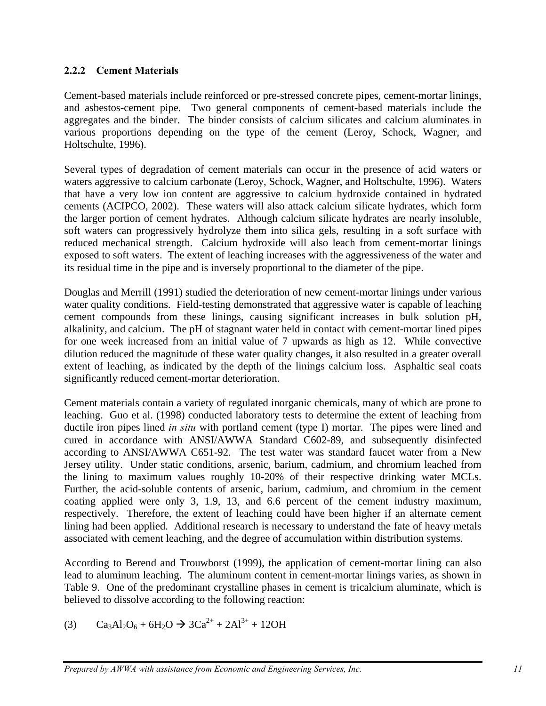#### **2.2.2 Cement Materials**

Cement-based materials include reinforced or pre-stressed concrete pipes, cement-mortar linings, and asbestos-cement pipe. Two general components of cement-based materials include the aggregates and the binder. The binder consists of calcium silicates and calcium aluminates in various proportions depending on the type of the cement (Leroy, Schock, Wagner, and Holtschulte, 1996).

Several types of degradation of cement materials can occur in the presence of acid waters or waters aggressive to calcium carbonate (Leroy, Schock, Wagner, and Holtschulte, 1996). Waters that have a very low ion content are aggressive to calcium hydroxide contained in hydrated cements (ACIPCO, 2002). These waters will also attack calcium silicate hydrates, which form the larger portion of cement hydrates. Although calcium silicate hydrates are nearly insoluble, soft waters can progressively hydrolyze them into silica gels, resulting in a soft surface with reduced mechanical strength. Calcium hydroxide will also leach from cement-mortar linings exposed to soft waters. The extent of leaching increases with the aggressiveness of the water and its residual time in the pipe and is inversely proportional to the diameter of the pipe.

Douglas and Merrill (1991) studied the deterioration of new cement-mortar linings under various water quality conditions. Field-testing demonstrated that aggressive water is capable of leaching cement compounds from these linings, causing significant increases in bulk solution pH, alkalinity, and calcium. The pH of stagnant water held in contact with cement-mortar lined pipes for one week increased from an initial value of 7 upwards as high as 12. While convective dilution reduced the magnitude of these water quality changes, it also resulted in a greater overall extent of leaching, as indicated by the depth of the linings calcium loss. Asphaltic seal coats significantly reduced cement-mortar deterioration.

Cement materials contain a variety of regulated inorganic chemicals, many of which are prone to leaching. Guo et al. (1998) conducted laboratory tests to determine the extent of leaching from ductile iron pipes lined *in situ* with portland cement (type I) mortar. The pipes were lined and cured in accordance with ANSI/AWWA Standard C602-89, and subsequently disinfected according to ANSI/AWWA C651-92. The test water was standard faucet water from a New Jersey utility. Under static conditions, arsenic, barium, cadmium, and chromium leached from the lining to maximum values roughly 10-20% of their respective drinking water MCLs. Further, the acid-soluble contents of arsenic, barium, cadmium, and chromium in the cement coating applied were only 3, 1.9, 13, and 6.6 percent of the cement industry maximum, respectively. Therefore, the extent of leaching could have been higher if an alternate cement lining had been applied. Additional research is necessary to understand the fate of heavy metals associated with cement leaching, and the degree of accumulation within distribution systems.

According to Berend and Trouwborst (1999), the application of cement-mortar lining can also lead to aluminum leaching. The aluminum content in cement-mortar linings varies, as shown in Table 9. One of the predominant crystalline phases in cement is tricalcium aluminate, which is believed to dissolve according to the following reaction:

(3)  $Ca_3Al_2O_6 + 6H_2O \rightarrow 3Ca^{2+} + 2Al^{3+} + 12OH^{-}$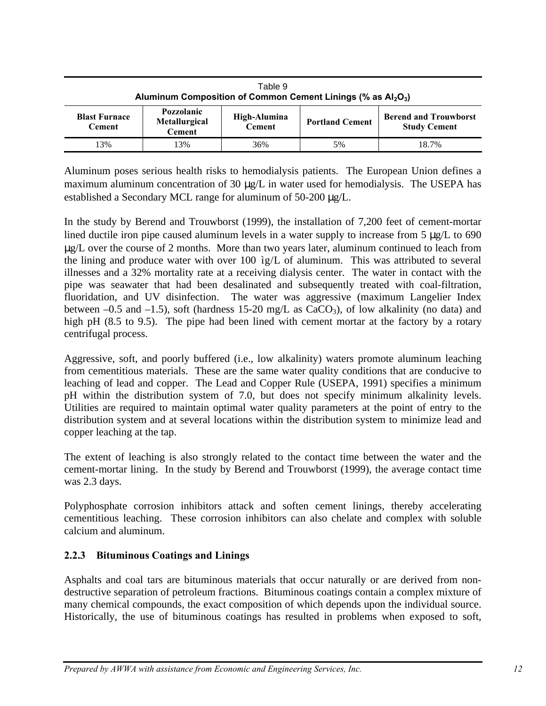| Table 9<br>Aluminum Composition of Common Cement Linings (% as $Al_2O_3$ ) |                                              |                               |                        |                                                     |
|----------------------------------------------------------------------------|----------------------------------------------|-------------------------------|------------------------|-----------------------------------------------------|
| <b>Blast Furnace</b><br><b>Cement</b>                                      | Pozzolanic<br>Metallurgical<br><b>Cement</b> | High-Alumina<br><b>Cement</b> | <b>Portland Cement</b> | <b>Berend and Trouwborst</b><br><b>Study Cement</b> |
| 13%                                                                        | 13%                                          | 36%                           | 5%                     | 18.7%                                               |

Aluminum poses serious health risks to hemodialysis patients. The European Union defines a maximum aluminum concentration of 30 μg/L in water used for hemodialysis. The USEPA has established a Secondary MCL range for aluminum of 50-200 μg/L.

In the study by Berend and Trouwborst (1999), the installation of 7,200 feet of cement-mortar lined ductile iron pipe caused aluminum levels in a water supply to increase from 5 μg/L to 690 μg/L over the course of 2 months. More than two years later, aluminum continued to leach from the lining and produce water with over 100 ìg/L of aluminum. This was attributed to several illnesses and a 32% mortality rate at a receiving dialysis center. The water in contact with the pipe was seawater that had been desalinated and subsequently treated with coal-filtration, fluoridation, and UV disinfection. The water was aggressive (maximum Langelier Index between –0.5 and –1.5), soft (hardness 15-20 mg/L as  $CaCO<sub>3</sub>$ ), of low alkalinity (no data) and high pH (8.5 to 9.5). The pipe had been lined with cement mortar at the factory by a rotary centrifugal process.

Aggressive, soft, and poorly buffered (i.e., low alkalinity) waters promote aluminum leaching from cementitious materials. These are the same water quality conditions that are conducive to leaching of lead and copper. The Lead and Copper Rule (USEPA, 1991) specifies a minimum pH within the distribution system of 7.0, but does not specify minimum alkalinity levels. Utilities are required to maintain optimal water quality parameters at the point of entry to the distribution system and at several locations within the distribution system to minimize lead and copper leaching at the tap.

The extent of leaching is also strongly related to the contact time between the water and the cement-mortar lining. In the study by Berend and Trouwborst (1999), the average contact time was 2.3 days.

Polyphosphate corrosion inhibitors attack and soften cement linings, thereby accelerating cementitious leaching. These corrosion inhibitors can also chelate and complex with soluble calcium and aluminum.

#### **2.2.3 Bituminous Coatings and Linings**

Asphalts and coal tars are bituminous materials that occur naturally or are derived from nondestructive separation of petroleum fractions. Bituminous coatings contain a complex mixture of many chemical compounds, the exact composition of which depends upon the individual source. Historically, the use of bituminous coatings has resulted in problems when exposed to soft,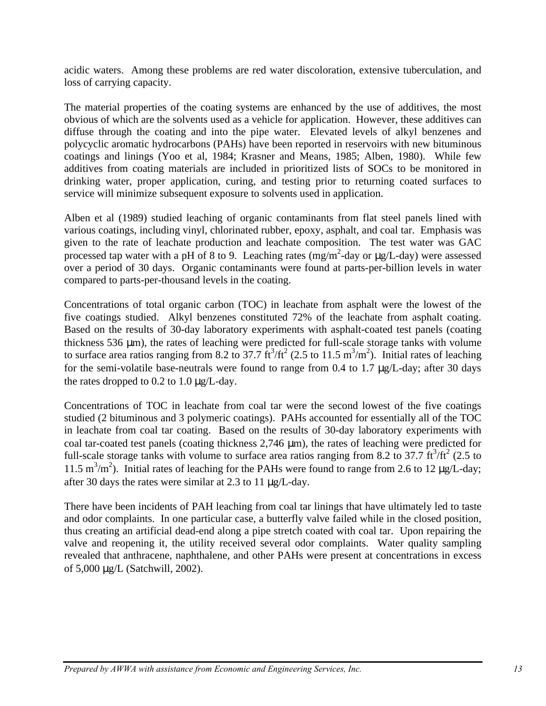acidic waters. Among these problems are red water discoloration, extensive tuberculation, and loss of carrying capacity.

The material properties of the coating systems are enhanced by the use of additives, the most obvious of which are the solvents used as a vehicle for application. However, these additives can diffuse through the coating and into the pipe water. Elevated levels of alkyl benzenes and polycyclic aromatic hydrocarbons (PAHs) have been reported in reservoirs with new bituminous coatings and linings (Yoo et al, 1984; Krasner and Means, 1985; Alben, 1980). While few additives from coating materials are included in prioritized lists of SOCs to be monitored in drinking water, proper application, curing, and testing prior to returning coated surfaces to service will minimize subsequent exposure to solvents used in application.

Alben et al (1989) studied leaching of organic contaminants from flat steel panels lined with various coatings, including vinyl, chlorinated rubber, epoxy, asphalt, and coal tar. Emphasis was given to the rate of leachate production and leachate composition. The test water was GAC processed tap water with a pH of 8 to 9. Leaching rates  $(mg/m^2$ -day or  $\mu g/L$ -day) were assessed over a period of 30 days. Organic contaminants were found at parts-per-billion levels in water compared to parts-per-thousand levels in the coating.

Concentrations of total organic carbon (TOC) in leachate from asphalt were the lowest of the five coatings studied. Alkyl benzenes constituted 72% of the leachate from asphalt coating. Based on the results of 30-day laboratory experiments with asphalt-coated test panels (coating thickness 536 μm), the rates of leaching were predicted for full-scale storage tanks with volume to surface area ratios ranging from 8.2 to 37.7  $\text{ft}^3/\text{ft}^2$  (2.5 to 11.5 m<sup>3</sup>/m<sup>2</sup>). Initial rates of leaching for the semi-volatile base-neutrals were found to range from 0.4 to 1.7 μg/L-day; after 30 days the rates dropped to  $0.2$  to  $1.0 \mu$ g/L-day.

Concentrations of TOC in leachate from coal tar were the second lowest of the five coatings studied (2 bituminous and 3 polymeric coatings). PAHs accounted for essentially all of the TOC in leachate from coal tar coating. Based on the results of 30-day laboratory experiments with coal tar-coated test panels (coating thickness 2,746 μm), the rates of leaching were predicted for full-scale storage tanks with volume to surface area ratios ranging from 8.2 to 37.7  $\text{ft}^3/\text{ft}^2$  (2.5 to 11.5 m<sup>3</sup>/m<sup>2</sup>). Initial rates of leaching for the PAHs were found to range from 2.6 to 12  $\mu$ g/L-day; after 30 days the rates were similar at 2.3 to 11 μg/L-day.

There have been incidents of PAH leaching from coal tar linings that have ultimately led to taste and odor complaints. In one particular case, a butterfly valve failed while in the closed position, thus creating an artificial dead-end along a pipe stretch coated with coal tar. Upon repairing the valve and reopening it, the utility received several odor complaints. Water quality sampling revealed that anthracene, naphthalene, and other PAHs were present at concentrations in excess of 5,000 μg/L (Satchwill, 2002).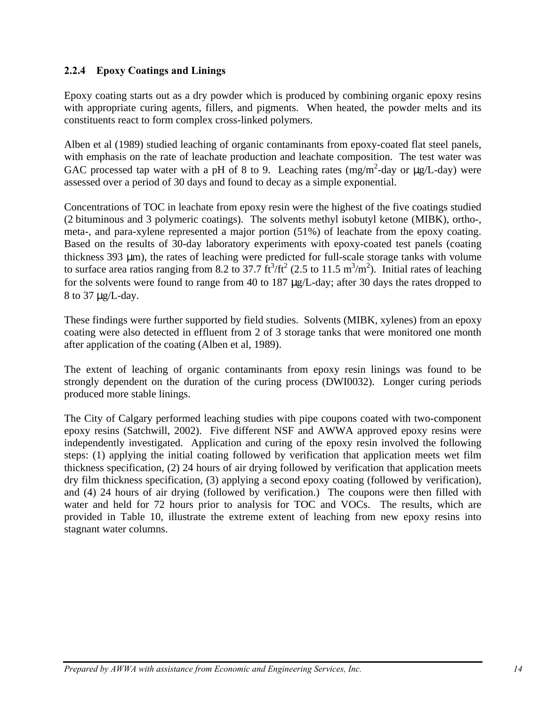#### **2.2.4 Epoxy Coatings and Linings**

Epoxy coating starts out as a dry powder which is produced by combining organic epoxy resins with appropriate curing agents, fillers, and pigments. When heated, the powder melts and its constituents react to form complex cross-linked polymers.

Alben et al (1989) studied leaching of organic contaminants from epoxy-coated flat steel panels, with emphasis on the rate of leachate production and leachate composition. The test water was GAC processed tap water with a pH of 8 to 9. Leaching rates  $(mg/m^2$ -day or  $\mu g/L$ -day) were assessed over a period of 30 days and found to decay as a simple exponential.

Concentrations of TOC in leachate from epoxy resin were the highest of the five coatings studied (2 bituminous and 3 polymeric coatings). The solvents methyl isobutyl ketone (MIBK), ortho-, meta-, and para-xylene represented a major portion (51%) of leachate from the epoxy coating. Based on the results of 30-day laboratory experiments with epoxy-coated test panels (coating thickness 393 μm), the rates of leaching were predicted for full-scale storage tanks with volume to surface area ratios ranging from 8.2 to 37.7  $\text{ft}^3/\text{ft}^2$  (2.5 to 11.5 m<sup>3</sup>/m<sup>2</sup>). Initial rates of leaching for the solvents were found to range from 40 to 187 μg/L-day; after 30 days the rates dropped to 8 to 37 μg/L-day.

These findings were further supported by field studies. Solvents (MIBK, xylenes) from an epoxy coating were also detected in effluent from 2 of 3 storage tanks that were monitored one month after application of the coating (Alben et al, 1989).

The extent of leaching of organic contaminants from epoxy resin linings was found to be strongly dependent on the duration of the curing process (DWI0032). Longer curing periods produced more stable linings.

The City of Calgary performed leaching studies with pipe coupons coated with two-component epoxy resins (Satchwill, 2002). Five different NSF and AWWA approved epoxy resins were independently investigated. Application and curing of the epoxy resin involved the following steps: (1) applying the initial coating followed by verification that application meets wet film thickness specification, (2) 24 hours of air drying followed by verification that application meets dry film thickness specification, (3) applying a second epoxy coating (followed by verification), and (4) 24 hours of air drying (followed by verification.) The coupons were then filled with water and held for 72 hours prior to analysis for TOC and VOCs. The results, which are provided in Table 10, illustrate the extreme extent of leaching from new epoxy resins into stagnant water columns.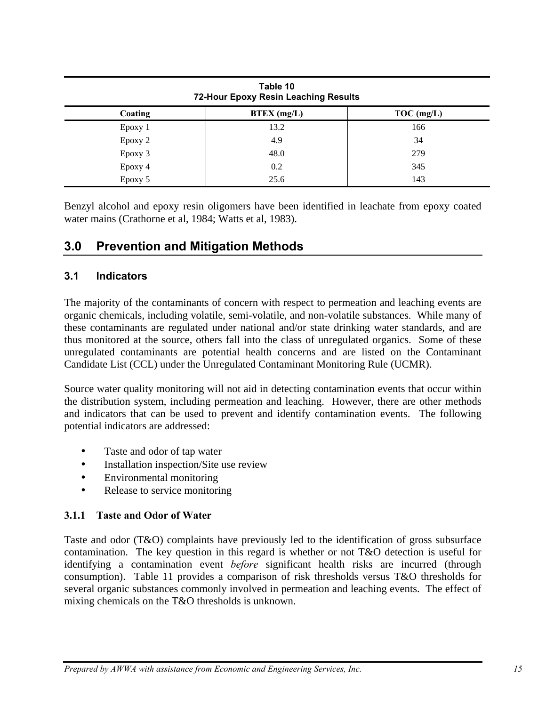| Table 10<br>72-Hour Epoxy Resin Leaching Results |               |              |  |
|--------------------------------------------------|---------------|--------------|--|
| Coating                                          | $BTEX$ (mg/L) | $TOC$ (mg/L) |  |
| Epoxy 1                                          | 13.2          | 166          |  |
| Epoxy 2                                          | 4.9           | 34           |  |
| Epoxy 3                                          | 48.0          | 279          |  |
| Epoxy 4                                          | 0.2           | 345          |  |
| Epoxy 5                                          | 25.6          | 143          |  |

Benzyl alcohol and epoxy resin oligomers have been identified in leachate from epoxy coated water mains (Crathorne et al, 1984; Watts et al, 1983).

# **3.0 Prevention and Mitigation Methods**

#### **3.1 Indicators**

The majority of the contaminants of concern with respect to permeation and leaching events are organic chemicals, including volatile, semi-volatile, and non-volatile substances. While many of these contaminants are regulated under national and/or state drinking water standards, and are thus monitored at the source, others fall into the class of unregulated organics. Some of these unregulated contaminants are potential health concerns and are listed on the Contaminant Candidate List (CCL) under the Unregulated Contaminant Monitoring Rule (UCMR).

Source water quality monitoring will not aid in detecting contamination events that occur within the distribution system, including permeation and leaching. However, there are other methods and indicators that can be used to prevent and identify contamination events. The following potential indicators are addressed:

- Taste and odor of tap water
- Installation inspection/Site use review
- Environmental monitoring
- Release to service monitoring

#### **3.1.1 Taste and Odor of Water**

Taste and odor (T&O) complaints have previously led to the identification of gross subsurface contamination. The key question in this regard is whether or not T&O detection is useful for identifying a contamination event *before* significant health risks are incurred (through consumption). Table 11 provides a comparison of risk thresholds versus T&O thresholds for several organic substances commonly involved in permeation and leaching events. The effect of mixing chemicals on the T&O thresholds is unknown.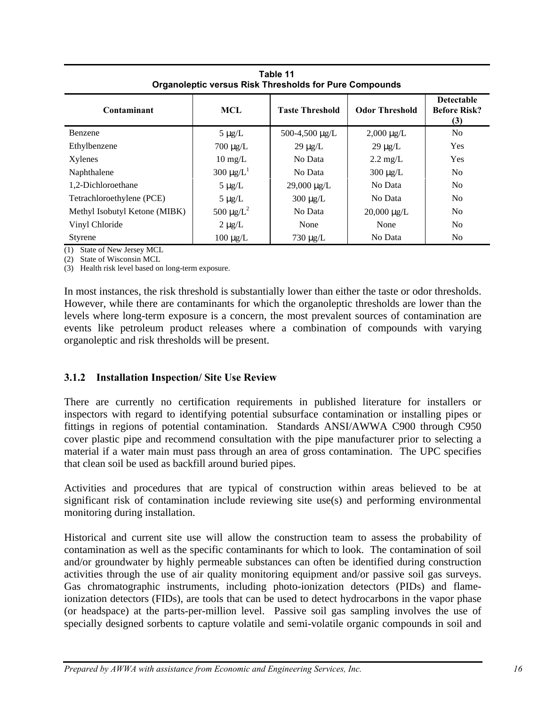| <u>a i della bene i algun i lli a citalia i algun a collibanimo</u> |                            |                        |                       |                                                 |  |
|---------------------------------------------------------------------|----------------------------|------------------------|-----------------------|-------------------------------------------------|--|
| Contaminant                                                         | MCL                        | <b>Taste Threshold</b> | <b>Odor Threshold</b> | <b>Detectable</b><br><b>Before Risk?</b><br>(3) |  |
| Benzene                                                             | $5 \mu g/L$                | 500-4,500 µg/L         | $2,000 \mu g/L$       | N <sub>o</sub>                                  |  |
| Ethylbenzene                                                        | $700 \mu g/L$              | $29 \mu g/L$           | $29 \mu g/L$          | Yes                                             |  |
| Xylenes                                                             | $10 \text{ mg/L}$          | No Data                | $2.2 \text{ mg/L}$    | Yes                                             |  |
| Naphthalene                                                         | 300 $\mu$ g/L <sup>1</sup> | No Data                | $300 \mu g/L$         | N <sub>o</sub>                                  |  |
| 1.2-Dichloroethane                                                  | $5 \mu g/L$                | $29,000 \mu g/L$       | No Data               | N <sub>0</sub>                                  |  |
| Tetrachloroethylene (PCE)                                           | $5 \mu g/L$                | $300 \mu g/L$          | No Data               | N <sub>o</sub>                                  |  |
| Methyl Isobutyl Ketone (MIBK)                                       | 500 $\mu$ g/L <sup>2</sup> | No Data                | $20,000 \mu g/L$      | N <sub>o</sub>                                  |  |
| Vinyl Chloride                                                      | $2 \mu g/L$                | None                   | None                  | N <sub>o</sub>                                  |  |
| <b>Styrene</b>                                                      | $100 \mu g/L$              | $730 \mu g/L$          | No Data               | N <sub>0</sub>                                  |  |

**Table 11 Organoleptic versus Risk Thresholds for Pure Compounds**

(1) State of New Jersey MCL

(2) State of Wisconsin MCL

(3) Health risk level based on long-term exposure.

In most instances, the risk threshold is substantially lower than either the taste or odor thresholds. However, while there are contaminants for which the organoleptic thresholds are lower than the levels where long-term exposure is a concern, the most prevalent sources of contamination are events like petroleum product releases where a combination of compounds with varying organoleptic and risk thresholds will be present.

#### **3.1.2 Installation Inspection/ Site Use Review**

There are currently no certification requirements in published literature for installers or inspectors with regard to identifying potential subsurface contamination or installing pipes or fittings in regions of potential contamination. Standards ANSI/AWWA C900 through C950 cover plastic pipe and recommend consultation with the pipe manufacturer prior to selecting a material if a water main must pass through an area of gross contamination. The UPC specifies that clean soil be used as backfill around buried pipes.

Activities and procedures that are typical of construction within areas believed to be at significant risk of contamination include reviewing site use(s) and performing environmental monitoring during installation.

Historical and current site use will allow the construction team to assess the probability of contamination as well as the specific contaminants for which to look. The contamination of soil and/or groundwater by highly permeable substances can often be identified during construction activities through the use of air quality monitoring equipment and/or passive soil gas surveys. Gas chromatographic instruments, including photo-ionization detectors (PIDs) and flameionization detectors (FIDs), are tools that can be used to detect hydrocarbons in the vapor phase (or headspace) at the parts-per-million level. Passive soil gas sampling involves the use of specially designed sorbents to capture volatile and semi-volatile organic compounds in soil and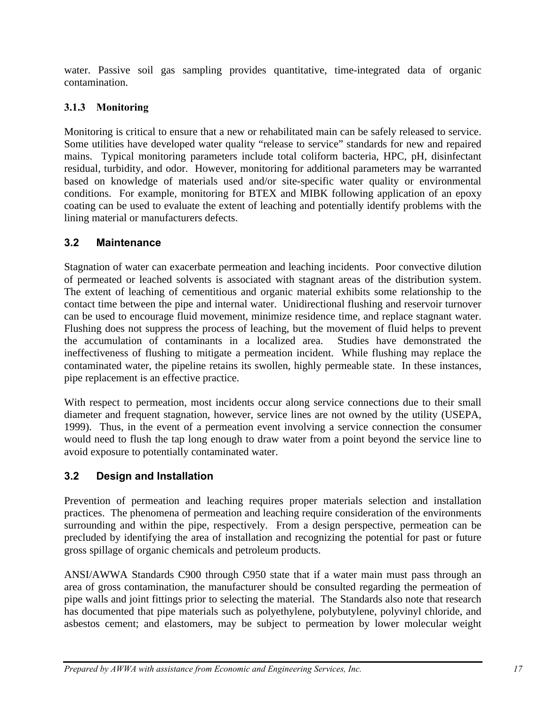water. Passive soil gas sampling provides quantitative, time-integrated data of organic contamination.

# **3.1.3 Monitoring**

Monitoring is critical to ensure that a new or rehabilitated main can be safely released to service. Some utilities have developed water quality "release to service" standards for new and repaired mains. Typical monitoring parameters include total coliform bacteria, HPC, pH, disinfectant residual, turbidity, and odor. However, monitoring for additional parameters may be warranted based on knowledge of materials used and/or site-specific water quality or environmental conditions. For example, monitoring for BTEX and MIBK following application of an epoxy coating can be used to evaluate the extent of leaching and potentially identify problems with the lining material or manufacturers defects.

# **3.2 Maintenance**

Stagnation of water can exacerbate permeation and leaching incidents. Poor convective dilution of permeated or leached solvents is associated with stagnant areas of the distribution system. The extent of leaching of cementitious and organic material exhibits some relationship to the contact time between the pipe and internal water. Unidirectional flushing and reservoir turnover can be used to encourage fluid movement, minimize residence time, and replace stagnant water. Flushing does not suppress the process of leaching, but the movement of fluid helps to prevent the accumulation of contaminants in a localized area. Studies have demonstrated the ineffectiveness of flushing to mitigate a permeation incident. While flushing may replace the contaminated water, the pipeline retains its swollen, highly permeable state. In these instances, pipe replacement is an effective practice.

With respect to permeation, most incidents occur along service connections due to their small diameter and frequent stagnation, however, service lines are not owned by the utility (USEPA, 1999). Thus, in the event of a permeation event involving a service connection the consumer would need to flush the tap long enough to draw water from a point beyond the service line to avoid exposure to potentially contaminated water.

# **3.2 Design and Installation**

Prevention of permeation and leaching requires proper materials selection and installation practices. The phenomena of permeation and leaching require consideration of the environments surrounding and within the pipe, respectively. From a design perspective, permeation can be precluded by identifying the area of installation and recognizing the potential for past or future gross spillage of organic chemicals and petroleum products.

ANSI/AWWA Standards C900 through C950 state that if a water main must pass through an area of gross contamination, the manufacturer should be consulted regarding the permeation of pipe walls and joint fittings prior to selecting the material. The Standards also note that research has documented that pipe materials such as polyethylene, polybutylene, polyvinyl chloride, and asbestos cement; and elastomers, may be subject to permeation by lower molecular weight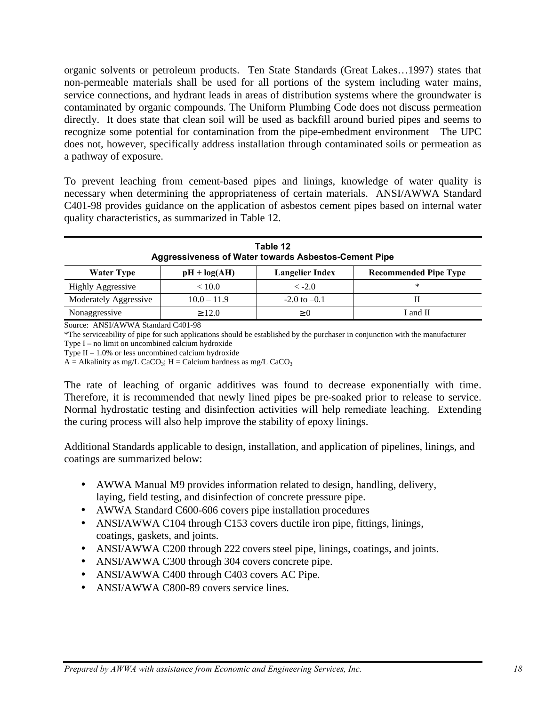organic solvents or petroleum products. Ten State Standards (Great Lakes…1997) states that non-permeable materials shall be used for all portions of the system including water mains, service connections, and hydrant leads in areas of distribution systems where the groundwater is contaminated by organic compounds. The Uniform Plumbing Code does not discuss permeation directly. It does state that clean soil will be used as backfill around buried pipes and seems to recognize some potential for contamination from the pipe-embedment environment The UPC does not, however, specifically address installation through contaminated soils or permeation as a pathway of exposure.

To prevent leaching from cement-based pipes and linings, knowledge of water quality is necessary when determining the appropriateness of certain materials. ANSI/AWWA Standard C401-98 provides guidance on the application of asbestos cement pipes based on internal water quality characteristics, as summarized in Table 12.

| Table 12<br><b>Aggressiveness of Water towards Asbestos-Cement Pipe</b>                       |               |                  |   |  |  |
|-----------------------------------------------------------------------------------------------|---------------|------------------|---|--|--|
| <b>Langelier Index</b><br><b>Recommended Pipe Type</b><br>$pH + log(AH)$<br><b>Water Type</b> |               |                  |   |  |  |
| <b>Highly Aggressive</b>                                                                      | < 10.0        | $\langle -2.0$   | * |  |  |
| Moderately Aggressive                                                                         | $10.0 - 11.9$ | $-2.0$ to $-0.1$ |   |  |  |
| Nonaggressive<br>I and II<br>$\geq 12.0$<br>$\geq$ ()                                         |               |                  |   |  |  |

Source: ANSI/AWWA Standard C401-98

\*The serviceability of pipe for such applications should be established by the purchaser in conjunction with the manufacturer Type I – no limit on uncombined calcium hydroxide

Type  $II - 1.0\%$  or less uncombined calcium hydroxide

 $A =$  Alkalinity as mg/L CaCO<sub>3</sub>; H = Calcium hardness as mg/L CaCO<sub>3</sub>

The rate of leaching of organic additives was found to decrease exponentially with time. Therefore, it is recommended that newly lined pipes be pre-soaked prior to release to service. Normal hydrostatic testing and disinfection activities will help remediate leaching. Extending the curing process will also help improve the stability of epoxy linings.

Additional Standards applicable to design, installation, and application of pipelines, linings, and coatings are summarized below:

- AWWA Manual M9 provides information related to design, handling, delivery, laying, field testing, and disinfection of concrete pressure pipe.
- AWWA Standard C600-606 covers pipe installation procedures
- ANSI/AWWA C104 through C153 covers ductile iron pipe, fittings, linings, coatings, gaskets, and joints.
- ANSI/AWWA C200 through 222 covers steel pipe, linings, coatings, and joints.
- ANSI/AWWA C300 through 304 covers concrete pipe.
- ANSI/AWWA C400 through C403 covers AC Pipe.
- ANSI/AWWA C800-89 covers service lines.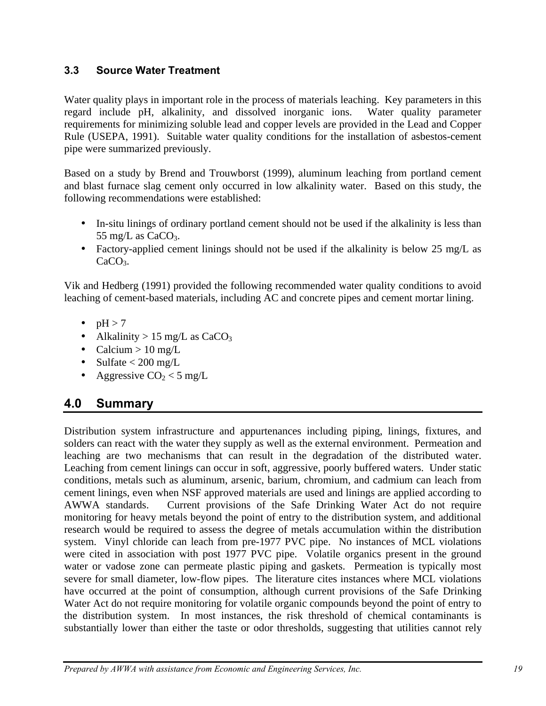### **3.3 Source Water Treatment**

Water quality plays in important role in the process of materials leaching. Key parameters in this regard include pH, alkalinity, and dissolved inorganic ions. Water quality parameter requirements for minimizing soluble lead and copper levels are provided in the Lead and Copper Rule (USEPA, 1991). Suitable water quality conditions for the installation of asbestos-cement pipe were summarized previously.

Based on a study by Brend and Trouwborst (1999), aluminum leaching from portland cement and blast furnace slag cement only occurred in low alkalinity water. Based on this study, the following recommendations were established:

- In-situ linings of ordinary portland cement should not be used if the alkalinity is less than 55 mg/L as  $CaCO<sub>3</sub>$ .
- Factory-applied cement linings should not be used if the alkalinity is below 25 mg/L as  $CaCO<sub>3</sub>$ .

Vik and Hedberg (1991) provided the following recommended water quality conditions to avoid leaching of cement-based materials, including AC and concrete pipes and cement mortar lining.

- $\bullet$  pH > 7
- Alkalinity > 15 mg/L as  $CaCO<sub>3</sub>$
- Calcium >  $10 \text{ mg/L}$
- Sulfate  $< 200$  mg/L
- Aggressive  $CO<sub>2</sub> < 5$  mg/L

# **4.0 Summary**

Distribution system infrastructure and appurtenances including piping, linings, fixtures, and solders can react with the water they supply as well as the external environment. Permeation and leaching are two mechanisms that can result in the degradation of the distributed water. Leaching from cement linings can occur in soft, aggressive, poorly buffered waters. Under static conditions, metals such as aluminum, arsenic, barium, chromium, and cadmium can leach from cement linings, even when NSF approved materials are used and linings are applied according to AWWA standards. Current provisions of the Safe Drinking Water Act do not require monitoring for heavy metals beyond the point of entry to the distribution system, and additional research would be required to assess the degree of metals accumulation within the distribution system. Vinyl chloride can leach from pre-1977 PVC pipe. No instances of MCL violations were cited in association with post 1977 PVC pipe. Volatile organics present in the ground water or vadose zone can permeate plastic piping and gaskets. Permeation is typically most severe for small diameter, low-flow pipes. The literature cites instances where MCL violations have occurred at the point of consumption, although current provisions of the Safe Drinking Water Act do not require monitoring for volatile organic compounds beyond the point of entry to the distribution system. In most instances, the risk threshold of chemical contaminants is substantially lower than either the taste or odor thresholds, suggesting that utilities cannot rely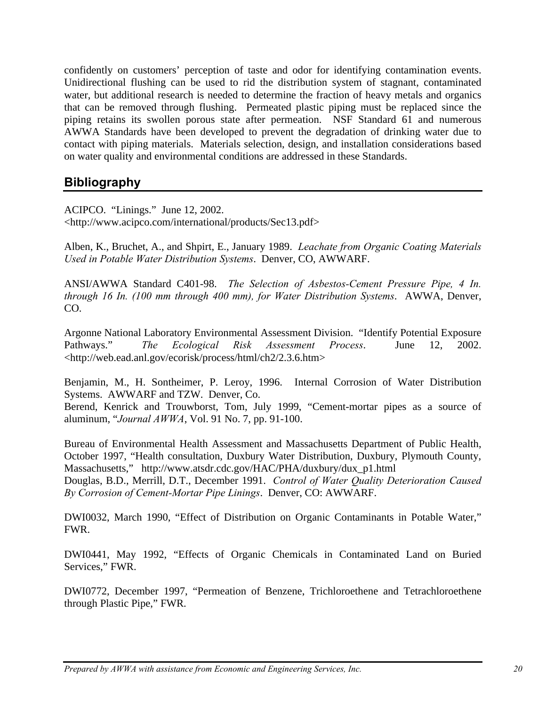confidently on customers' perception of taste and odor for identifying contamination events. Unidirectional flushing can be used to rid the distribution system of stagnant, contaminated water, but additional research is needed to determine the fraction of heavy metals and organics that can be removed through flushing. Permeated plastic piping must be replaced since the piping retains its swollen porous state after permeation. NSF Standard 61 and numerous AWWA Standards have been developed to prevent the degradation of drinking water due to contact with piping materials. Materials selection, design, and installation considerations based on water quality and environmental conditions are addressed in these Standards.

# **Bibliography**

ACIPCO. "Linings." June 12, 2002.

<http://www.acipco.com/international/products/Sec13.pdf>

Alben, K., Bruchet, A., and Shpirt, E., January 1989. *Leachate from Organic Coating Materials Used in Potable Water Distribution Systems*. Denver, CO, AWWARF.

ANSI/AWWA Standard C401-98. *The Selection of Asbestos-Cement Pressure Pipe, 4 In. through 16 In. (100 mm through 400 mm), for Water Distribution Systems*. AWWA, Denver, CO.

Argonne National Laboratory Environmental Assessment Division. "Identify Potential Exposure Pathways." *The Ecological Risk Assessment Process*. June 12, 2002. <http://web.ead.anl.gov/ecorisk/process/html/ch2/2.3.6.htm>

Benjamin, M., H. Sontheimer, P. Leroy, 1996. Internal Corrosion of Water Distribution Systems. AWWARF and TZW. Denver, Co.

Berend, Kenrick and Trouwborst, Tom, July 1999, "Cement-mortar pipes as a source of aluminum, "*Journal AWWA*, Vol. 91 No. 7, pp. 91-100.

Bureau of Environmental Health Assessment and Massachusetts Department of Public Health, October 1997, "Health consultation, Duxbury Water Distribution, Duxbury, Plymouth County, Massachusetts," http://www.atsdr.cdc.gov/HAC/PHA/duxbury/dux\_p1.html

Douglas, B.D., Merrill, D.T., December 1991. *Control of Water Quality Deterioration Caused By Corrosion of Cement-Mortar Pipe Linings*. Denver, CO: AWWARF.

DWI0032, March 1990, "Effect of Distribution on Organic Contaminants in Potable Water," FWR.

DWI0441, May 1992, "Effects of Organic Chemicals in Contaminated Land on Buried Services," FWR.

DWI0772, December 1997, "Permeation of Benzene, Trichloroethene and Tetrachloroethene through Plastic Pipe," FWR.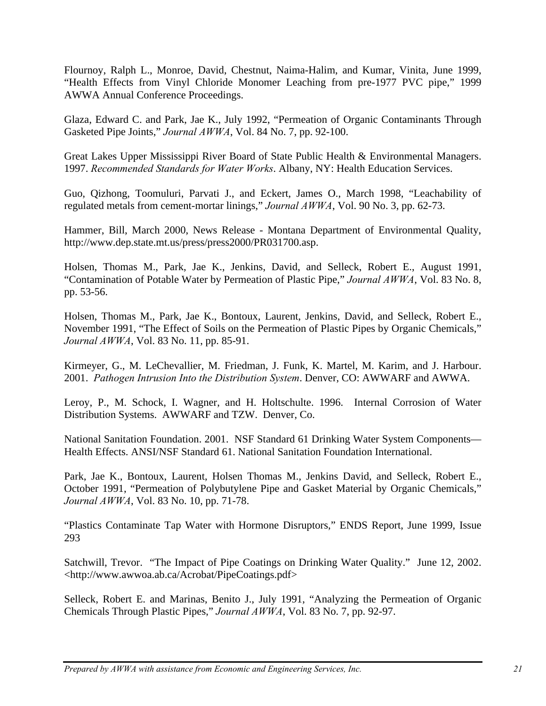Flournoy, Ralph L., Monroe, David, Chestnut, Naima-Halim, and Kumar, Vinita, June 1999, "Health Effects from Vinyl Chloride Monomer Leaching from pre-1977 PVC pipe," 1999 AWWA Annual Conference Proceedings.

Glaza, Edward C. and Park, Jae K., July 1992, "Permeation of Organic Contaminants Through Gasketed Pipe Joints," *Journal AWWA*, Vol. 84 No. 7, pp. 92-100.

Great Lakes Upper Mississippi River Board of State Public Health & Environmental Managers. 1997. *Recommended Standards for Water Works*. Albany, NY: Health Education Services.

Guo, Qizhong, Toomuluri, Parvati J., and Eckert, James O., March 1998, "Leachability of regulated metals from cement-mortar linings," *Journal AWWA*, Vol. 90 No. 3, pp. 62-73.

Hammer, Bill, March 2000, News Release - Montana Department of Environmental Quality, http://www.dep.state.mt.us/press/press2000/PR031700.asp.

Holsen, Thomas M., Park, Jae K., Jenkins, David, and Selleck, Robert E., August 1991, "Contamination of Potable Water by Permeation of Plastic Pipe," *Journal AWWA*, Vol. 83 No. 8, pp. 53-56.

Holsen, Thomas M., Park, Jae K., Bontoux, Laurent, Jenkins, David, and Selleck, Robert E., November 1991, "The Effect of Soils on the Permeation of Plastic Pipes by Organic Chemicals," *Journal AWWA*, Vol. 83 No. 11, pp. 85-91.

Kirmeyer, G., M. LeChevallier, M. Friedman, J. Funk, K. Martel, M. Karim, and J. Harbour. 2001. *Pathogen Intrusion Into the Distribution System*. Denver, CO: AWWARF and AWWA.

Leroy, P., M. Schock, I. Wagner, and H. Holtschulte. 1996. Internal Corrosion of Water Distribution Systems. AWWARF and TZW. Denver, Co.

National Sanitation Foundation. 2001. NSF Standard 61 Drinking Water System Components— Health Effects. ANSI/NSF Standard 61. National Sanitation Foundation International.

Park, Jae K., Bontoux, Laurent, Holsen Thomas M., Jenkins David, and Selleck, Robert E., October 1991, "Permeation of Polybutylene Pipe and Gasket Material by Organic Chemicals," *Journal AWWA*, Vol. 83 No. 10, pp. 71-78.

"Plastics Contaminate Tap Water with Hormone Disruptors," ENDS Report, June 1999, Issue 293

Satchwill, Trevor. "The Impact of Pipe Coatings on Drinking Water Quality." June 12, 2002. <http://www.awwoa.ab.ca/Acrobat/PipeCoatings.pdf>

Selleck, Robert E. and Marinas, Benito J., July 1991, "Analyzing the Permeation of Organic Chemicals Through Plastic Pipes," *Journal AWWA*, Vol. 83 No. 7, pp. 92-97.